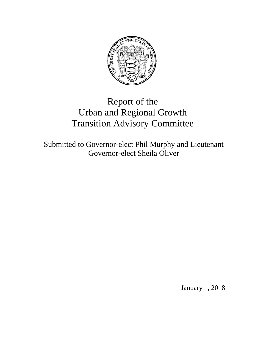

# Report of the Urban and Regional Growth Transition Advisory Committee

Submitted to Governor-elect Phil Murphy and Lieutenant Governor-elect Sheila Oliver

January 1, 2018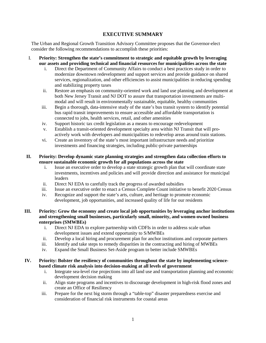# **EXECUTIVE SUMMARY**

The Urban and Regional Growth Transition Advisory Committee proposes that the Governor-elect consider the following recommendations to accomplish these priorities:

- I. **Priority: Strengthen the state's commitment to strategic and equitable growth by leveraging our assets and providing technical and financial resources for municipalities across the state**
	- i. Direct the Department of Community Affairs to conduct a best practices study in order to modernize downtown redevelopment and support services and provide guidance on shared services, regionalization, and other efficiencies to assist municipalities in reducing spending and stabilizing property taxes
	- ii. Restore an emphasis on community-oriented work and land use planning and development at both New Jersey Transit and NJ DOT to assure that transportation investments are multimodal and will result in environmentally sustainable, equitable, healthy communities
	- iii. Begin a thorough, data-intensive study of the state's bus transit system to identify potential bus rapid transit improvements to ensure accessible and affordable transportation is connected to jobs, health services, retail, and other amenities
	- iv. Support historic tax credit legislation as a means to encourage redevelopment
	- v. Establish a transit-oriented development specialty area within NJ Transit that will proactively work with developers and municipalities to redevelop areas around train stations.
	- vi. Create an inventory of the state's most important infrastructure needs and prioritize investments and financing strategies, including public-private partnerships

## **II. Priority: Develop dynamic state planning strategies and strengthen data collection efforts to ensure sustainable economic growth for all populations across the state**

- i. Issue an executive order to develop a state strategic growth plan that will coordinate state investments, incentives and policies and will provide direction and assistance for municipal leaders
- ii. Direct NJ EDA to carefully track the progress of awarded subsidies
- iii. Issue an executive order to enact a Census Complete Count initiative to benefit 2020 Census
- iv. Recognize and support the state's arts, culture, and heritage to promote economic development, job opportunities, and increased quality of life for our residents

## **III. Priority: Grow the economy and create local job opportunities by leveraging anchor institutions and strengthening small businesses, particularly small, minority, and women-owned business enterprises (SMWBEs)**

- i. Direct NJ EDA to explore partnership with CDFIs in order to address scale urban development issues and extend opportunity to S/MWBEs
- ii. Develop a local hiring and procurement plan for anchor institutions and corporate partners
- iii. Identify and take steps to remedy disparities in the contracting and hiring of MWBEs
- iv. Expand the Small Business Set-Aside program to better include SMWBEs

## **IV. Priority: Bolster the resiliency of communities throughout the state by implementing sciencebased climate risk analysis into decision-making at all levels of government**

- i. Integrate sea-level rise projections into all land use and transportation planning and economic development decision making
- ii. Align state programs and incentives to discourage development in high-risk flood zones and create an Office of Resiliency
- iii. Prepare for the next big storm through a "table-top" disaster preparedness exercise and consideration of financial risk instruments for coastal areas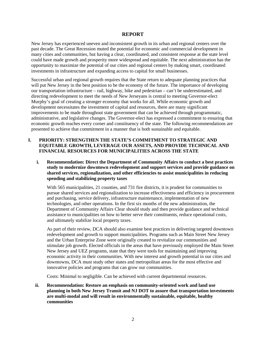## **REPORT**

New Jersey has experienced uneven and inconsistent growth in its urban and regional centers over the past decade. The Great Recession muted the potential for economic and commercial development in many cities and communities, but having a clear, coordinated, and consistent response at the state level could have made growth and prosperity more widespread and equitable. The next administration has the opportunity to maximize the potential of our cities and regional centers by making smart, coordinated investments in infrastructure and expanding access to capital for small businesses.

Successful urban and regional growth requires that the State return to adequate planning practices that will put New Jersey in the best position to be the economy of the future. The importance of developing our transportation infrastructure – rail, highway, bike and pedestrian – can't be underestimated, and directing redevelopment to meet the needs of New Jerseyans is central to meeting Governor-elect Murphy's goal of creating a stronger economy that works for all. While economic growth and development necessitates the investment of capital and resources, there are many significant improvements to be made throughout state government that can be achieved through programmatic, administrative, and legislative changes. The Governor-elect has expressed a commitment to ensuring that economic growth reaches every corner and constituency of the state. The following recommendations are presented to achieve that commitment in a manner that is both sustainable and equitable.

## **I. PRIORITY: STRENGTHEN THE STATE'S COMMITMENT TO STRATEGIC AND EQUITABLE GROWTH, LEVERAGE OUR ASSETS, AND PROVIDE TECHNICAL AND FINANCIAL RESOURCES FOR MUNICIPALITIES ACROSS THE STATE**

**i. Recommendation: Direct the Department of Community Affairs to conduct a best practices study to modernize downtown redevelopment and support services and provide guidance on shared services, regionalization, and other efficiencies to assist municipalities in reducing spending and stabilizing property taxes**

With 565 municipalities, 21 counties, and 731 fire districts, it is prudent for communities to pursue shared services and regionalization to increase effectiveness and efficiency in procurement and purchasing, service delivery, infrastructure maintenance, implementation of new technologies, and other operations. In the first six months of the new administration, the Department of Community Affairs Clear should study and then provide guidance and technical assistance to municipalities on how to better serve their constituents, reduce operational costs, and ultimately stabilize local property taxes.

As part of their review, DCA should also examine best practices in delivering targeted downtown redevelopment and growth to support municipalities. Programs such as Main Street New Jersey and the Urban Enterprise Zone were originally created to revitalize our communities and stimulate job growth. Elected officials in the areas that have previously employed the Main Street New Jersey and UEZ programs, state that they were tools for maintaining and improving economic activity in their communities. With new interest and growth potential in our cities and downtowns, DCA must study other states and metropolitan areas for the most effective and innovative policies and programs that can grow our communities.

Costs: Minimal to negligible. Can be achieved with current departmental resources.

**ii. Recommendation: Restore an emphasis on community-oriented work and land use planning in both New Jersey Transit and NJ DOT to assure that transportation investments are multi-modal and will result in environmentally sustainable, equitable, healthy communities**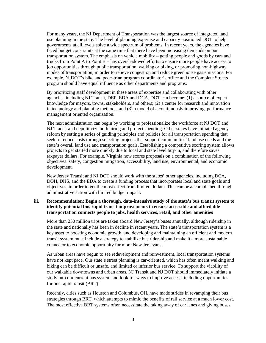For many years, the NJ Department of Transportation was the largest source of integrated land use planning in the state. The level of planning expertise and capacity positioned DOT to help governments at all levels solve a wide spectrum of problems. In recent years, the agencies have faced budget constraints at the same time that there have been increasing demands on our transportation system. The emphasis on vehicle mobility – getting people and goods by cars and trucks from Point A to Point B – has overshadowed efforts to ensure more people have access to job opportunities through public transportation, walking or biking, or promoting non-highway modes of transportation, in order to relieve congestion and reduce greenhouse gas emissions. For example, NJDOT's bike and pedestrian program coordinator's office and the Complete Streets program should have equal influence as other departments and programs.

By prioritizing staff development in these areas of expertise and collaborating with other agencies, including NJ Transit, DEP, EDA and DCA, DOT can become: (1) a source of expert knowledge for mayors, towns, stakeholders, and others; (2) a center for research and innovation in technology and planning methods; and (3) a model of a continuously improving, performance management oriented organization.

The next administration can begin by working to professionalize the workforce at NJ DOT and NJ Transit and depoliticize both hiring and project spending. Other states have initiated agency reform by setting a series of guiding principles and policies for all transportation spending that seek to reduce costs through selecting projects that support communities' land use needs and the state's overall land use and transportation goals. Establishing a competitive scoring system allows projects to get started more quickly due to local and state level buy-in, and therefore saves taxpayer dollars. For example, Virginia now scores proposals on a combination of the following objectives: safety, congestion mitigation, accessibility, land use, environmental, and economic development.

New Jersey Transit and NJ DOT should work with the states' other agencies, including DCA, DOH, DHS, and the EDA to create a funding process that incorporates local and state goals and objectives, in order to get the most effect from limited dollars. This can be accomplished through administrative action with limited budget impact.

## **iii. Recommendation: Begin a thorough, data-intensive study of the state's bus transit system to identify potential bus rapid transit improvements to ensure accessible and affordable transportation connects people to jobs, health services, retail, and other amenities**

More than 250 million trips are taken aboard New Jersey's buses annually, although ridership in the state and nationally has been in decline in recent years. The state's transportation system is a key asset to boosting economic growth, and developing and maintaining an efficient and modern transit system must include a strategy to stabilize bus ridership and make it a more sustainable connector to economic opportunity for more New Jerseyans.

As urban areas have begun to see redevelopment and reinvestment, local transportation systems have not kept pace. Our state's street planning is car-oriented, which has often meant walking and biking can be difficult or unsafe, and limited or inferior bus service. To support the viability of our walkable downtowns and urban areas, NJ Transit and NJ DOT should immediately initiate a study into our current bus system and look for ways to improve access, including opportunities for bus rapid transit (BRT).

Recently, cities such as Houston and Columbus, OH, have made strides in revamping their bus strategies through BRT, which attempts to mimic the benefits of rail service at a much lower cost. The most effective BRT systems often necessitate the taking away of car lanes and giving buses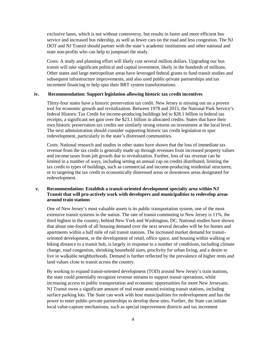exclusive lanes, which is not without controversy, but results in faster and more efficient bus service and increased bus ridership, as well as fewer cars on the road and less congestion. The NJ DOT and NJ Transit should partner with the state's academic institutions and other national and state non-profits who can help to jumpstart the study.

Costs: A study and planning effort will likely cost several million dollars. Upgrading our bus transit will take significant political and capital investment, likely in the hundreds of millions. Other states and large metropolitan areas have leveraged federal grants to fund transit studies and subsequent infrastructure improvements, and also used public-private partnerships and tax increment financing to help spur their BRT system transformations.

#### **iv. Recommendation: Support legislation allowing historic tax credit incentives**

Thirty-four states have a historic preservation tax credit. New Jersey is missing out on a proven tool for economic growth and revitalization. Between 1978 and 2015, the National Park Service's federal Historic Tax Credit for income-producing buildings led to \$28.1 billion in federal tax receipts, a significant net gain over the \$23.1 billion in allocated credits. States that have their own historic preservation tax credits see similarly strong returns on investment at the local level. The next administration should consider supporting historic tax credit legislation to spur redevelopment, particularly in the state's distressed communities.

Costs: National research and studies in other states have shown that the loss of immediate tax revenue from the tax credit is generally made up through revenues from increased property values and income taxes from job growth due to revitalization. Further, loss of tax revenue can be limited in a number of ways, including setting an annual cap on credits distributed; limiting the tax credit to types of buildings, such as commercial and income-producing residential structures; or to targeting the tax credit to economically distressed areas or downtown areas designated for redevelopment.

## **v. Recommendation: Establish a transit-oriented development specialty area within NJ Transit that will pro-actively work with developers and municipalities to redevelop areas around train stations**

One of New Jersey's most valuable assets is its public transportation system, one of the most extensive transit systems in the nation. The rate of transit commuting in New Jersey is 11%, the third highest in the country, behind New York and Washington, DC. National studies have shown that about one-fourth of all housing demand over the next several decades will be for homes and apartments within a half mile of rail transit stations. The increased market demand for transitoriented development, or the development of retail, office space, and housing within walking or biking distance to a transit hub, is largely in response to a number of conditions, including climate change, road congestion, shrinking household sizes, proclivity for urban living, and a desire to live in walkable neighborhoods. Demand is further reflected by the prevalence of higher rents and land values close to transit across the country.

By working to expand transit-oriented development (TOD) around New Jersey's train stations, the state could potentially recognize revenue streams to support transit operations, while increasing access to public transportation and economic opportunities for more New Jerseyans. NJ Transit owns a significant amount of real estate around existing transit stations, including surface parking lots. The State can work with host municipalities for redevelopment and has the power to enter public-private partnerships to develop these sites. Further, the State can initiate local value-capture mechanisms, such as special improvement districts and tax increment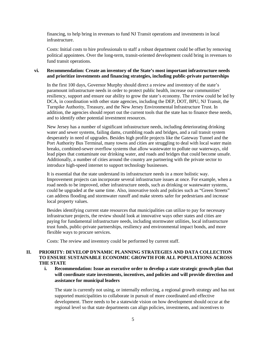financing, to help bring in revenues to fund NJ Transit operations and investments in local infrastructure.

Costs: Initial costs to hire professionals to staff a robust department could be offset by removing political appointees. Over the long-term, transit-oriented development could bring in revenues to fund transit operations.

## **vi. Recommendation: Create an inventory of the State's most important infrastructure needs and prioritize investments and financing strategies, including public-private partnerships**

In the first 100 days, Governor Murphy should direct a review and inventory of the state's paramount infrastructure needs in order to protect public health, increase our communities' resiliency, support and ensure our ability to grow the state's economy. The review could be led by DCA, in coordination with other state agencies, including the DEP, DOT, BPU, NJ Transit, the Turnpike Authority, Treasury, and the New Jersey Environmental Infrastructure Trust. In addition, the agencies should report out the current tools that the state has to finance these needs, and to identify other potential investment resources.

New Jersey has a number of significant infrastructure needs, including deteriorating drinking water and sewer systems, failing dams, crumbling roads and bridges, and a rail transit system desperately in need of upgrades. Besides high profile projects like the Gateway Tunnel and the Port Authority Bus Terminal, many towns and cities are struggling to deal with local water main breaks, combined-sewer overflow systems that allow wastewater to pollute our waterways, old lead pipes that contaminate our drinking water, and roads and bridges that could become unsafe. Additionally, a number of cities around the country are partnering with the private sector to introduce high-speed internet to support technology businesses.

It is essential that the state understand its infrastructure needs in a more holistic way. Improvement projects can incorporate several infrastructure issues at once. For example, when a road needs to be improved, other infrastructure needs, such as drinking or wastewater systems, could be upgraded at the same time. Also, innovative tools and policies such as "Green Streets" can address flooding and stormwater runoff and make streets safer for pedestrians and increase local property values.

Besides identifying current state resources that municipalities can utilize to pay for necessary infrastructure projects, the review should look at innovative ways other states and cities are paying for fundamental infrastructure needs, including stormwater utilities, local infrastructure trust funds, public-private partnerships, resiliency and environmental impact bonds, and more flexible ways to procure services.

Costs: The review and inventory could be performed by current staff.

# **II. PRIORITY: DEVELOP DYNAMIC PLANNING STRATEGIES AND DATA COLLECTION TO ENSURE SUSTAINABLE ECONOMIC GROWTH FOR ALL POPULATIONS ACROSS THE STATE**

**i. Recommendation: Issue an executive order to develop a state strategic growth plan that will coordinate state investments, incentives, and policies and will provide direction and assistance for municipal leaders**

The state is currently not using, or internally enforcing, a regional growth strategy and has not supported municipalities to collaborate in pursuit of more coordinated and effective development. There needs to be a statewide vision on how development should occur at the regional level so that state departments can align policies, investments, and incentives to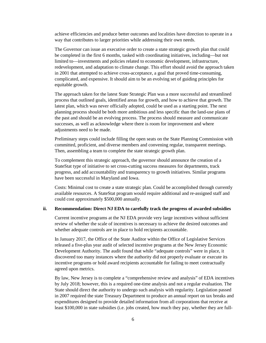achieve efficiencies and produce better outcomes and localities have direction to operate in a way that contributes to larger priorities while addressing their own needs.

The Governor can issue an executive order to create a state strategic growth plan that could be completed in the first 6 months, tasked with coordinating initiatives, including—but not limited to—investments and policies related to economic development, infrastructure, redevelopment, and adaptation to climate change. This effort should avoid the approach taken in 2001 that attempted to achieve cross-acceptance, a goal that proved time-consuming, complicated, and expensive. It should aim to be an evolving set of guiding principles for equitable growth.

The approach taken for the latest State Strategic Plan was a more successful and streamlined process that outlined goals, identified areas for growth, and how to achieve that growth. The latest plan, which was never officially adopted, could be used as a starting point. The next planning process should be both more ambitious and less specific than the land-use plans of the past and should be an evolving process. The process should measure and communicate successes, as well as acknowledge where there is room for improvement and where adjustments need to be made.

Preliminary steps could include filling the open seats on the State Planning Commission with committed, proficient, and diverse members and convening regular, transparent meetings. Then, assembling a team to complete the state strategic growth plan.

To complement this strategic approach, the governor should announce the creation of a StateStat type of initiative to set cross-cutting success measures for departments, track progress, and add accountability and transparency to growth initiatives. Similar programs have been successful in Maryland and Iowa.

Costs: Minimal cost to create a state strategic plan. Could be accomplished through currently available resources. A StateStat program would require additional and re-assigned staff and could cost approximately \$500,000 annually.

#### **ii. Recommendation: Direct NJ EDA to carefully track the progress of awarded subsidies**

Current incentive programs at the NJ EDA provide very large incentives without sufficient review of whether the scale of incentives is necessary to achieve the desired outcomes and whether adequate controls are in place to hold recipients accountable.

In January 2017, the Office of the State Auditor within the Office of Legislative Services released a five-plus year audit of selected incentive programs at the New Jersey Economic Development Authority. The audit found that while "adequate controls" were in place, it discovered too many instances where the authority did not properly evaluate or execute its incentive programs or hold award recipients accountable for failing to meet contractually agreed upon metrics.

By law, New Jersey is to complete a "comprehensive review and analysis" of EDA incentives by July 2018; however, this is a required one-time analysis and not a regular evaluation. The State should direct the authority to undergo such analysis with regularity. Legislation passed in 2007 required the state Treasury Department to produce an annual report on tax breaks and expenditures designed to provide detailed information from all corporations that receive at least \$100,000 in state subsidies (i.e. jobs created, how much they pay, whether they are full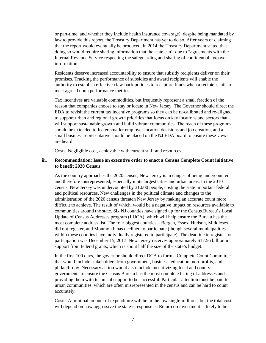or part-time, and whether they include health insurance coverage); despite being mandated by law to provide this report, the Treasury Department has yet to do so. After years of claiming that the report would eventually be produced, in 2014 the Treasury Department stated that doing so would require sharing information that the state can't due to "agreements with the Internal Revenue Service respecting the safeguarding and sharing of confidential taxpayer information."

Residents deserve increased accountability to ensure that subsidy recipients deliver on their promises. Tracking the performance of subsidies and award recipients will enable the authority to establish effective claw-back policies to recapture funds when a recipient fails to meet agreed upon performance metrics.

Tax incentives are valuable commodities, but frequently represent a small fraction of the reason that companies choose to stay or locate in New Jersey. The Governor should direct the EDA to revisit the current tax incentive programs so they can be re-calibrated and re-aligned to support urban and regional growth priorities that focus on key locations and sectors that will support sustainable growth and build vibrant communities. The reach of these programs should be extended to foster smaller employer location decisions and job creation, and a small business representative should be placed on the NJ EDA board to ensure these views are heard.

Costs: Negligible cost, achievable with current staff and resources.

## **iii. Recommendation: Issue an executive order to enact a Census Complete Count initiative to benefit 2020 Census**

As the country approaches the 2020 census, New Jersey is in danger of being undercounted and therefore misrepresented, especially in its largest cities and urban areas. In the 2010 census, New Jersey was undercounted by 31,000 people, costing the state important federal and political resources. New challenges in the political climate and changes to the administration of the 2020 census threaten New Jersey by making an accurate count more difficult to achieve. The result of which, would be a negative impact on resources available to communities around the state. Six NJ counties have signed up for the Census Bureau's Local Update of Census Addresses program (LUCA), which will help ensure the Bureau has the most complete address list. The four biggest counties – Bergen, Essex, Hudson, Middlesex – did not register, and Monmouth has declined to participate (though several municipalities within these counties have individually registered to participate). The deadline to register for participation was December 15, 2017. New Jersey receives approximately \$17.56 billion in support from federal grants, which is about half the size of the state's budget.

In the first 100 days, the governor should direct DCA to form a Complete Count Committee that would include stakeholders from government, business, education, non-profits, and philanthropy. Necessary action would also include incentivizing local and county governments to ensure the Census Bureau has the most complete listing of addresses and providing them with technical support to be successful. Particular attention must be paid to urban communities, which are often misrepresented in the census and can be hard to count accurately.

Costs: A minimal amount of expenditure will be in the low single-millions, but the total cost will depend on how aggressive the state's response is. Return on investment is likely to be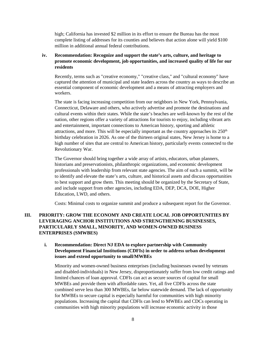high; California has invested \$2 million in its effort to ensure the Bureau has the most complete listing of addresses for its counties and believes that action alone will yield \$100 million in additional annual federal contributions.

# **iv. Recommendation: Recognize and support the state's arts, culture, and heritage to promote economic development, job opportunities, and increased quality of life for our residents**

Recently, terms such as "creative economy," "creative class," and "cultural economy" have captured the attention of municipal and state leaders across the country as ways to describe an essential component of economic development and a means of attracting employers and workers.

The state is facing increasing competition from our neighbors in New York, Pennsylvania, Connecticut, Delaware and others, who actively advertise and promote the destinations and cultural events within their states. While the state's beaches are well-known by the rest of the nation, other regions offer a variety of attractions for tourists to enjoy, including vibrant arts and entertainment, important connections to American history, sporting and athletic attractions, and more. This will be especially important as the country approaches its  $250<sup>th</sup>$ birthday celebration in 2026. As one of the thirteen original states, New Jersey is home to a high number of sites that are central to American history, particularly events connected to the Revolutionary War.

The Governor should bring together a wide array of artists, educators, urban planners, historians and preservationists, philanthropic organizations, and economic development professionals with leadership from relevant state agencies. The aim of such a summit, will be to identify and elevate the state's arts, culture, and historical assets and discuss opportunities to best support and grow them. This meeting should be organized by the Secretary of State, and include support from other agencies, including EDA, DEP, DCA, DOE, Higher Education, LWD, and others.

Costs: Minimal costs to organize summit and produce a subsequent report for the Governor.

# **III. PRIORITY: GROW THE ECONOMY AND CREATE LOCAL JOB OPPORTUNITIES BY LEVERAGING ANCHOR INSTITUTIONS AND STRENGTHENING BUSINESSES, PARTICULARLY SMALL, MINORITY, AND WOMEN-OWNED BUSINESS ENTERPRISES (SMWBES)**

# **i. Recommendation: Direct NJ EDA to explore partnership with Community Development Financial Institutions (CDFIs) in order to address urban development issues and extend opportunity to small/MWBEs**

Minority and women-owned business enterprises (including businesses owned by veterans and disabled-individuals) in New Jersey, disproportionately suffer from low credit ratings and limited chances of loan approval. CDFIs can act as secure sources of capital for small MWBEs and provide them with affordable rates. Yet, all five CDFIs across the state combined serve less than 300 MWBEs, far below statewide demand. The lack of opportunity for MWBEs to secure capital is especially harmful for communities with high minority populations. Increasing the capital that CDFIs can lend to MWBEs and CDCs operating in communities with high minority populations will increase economic activity in those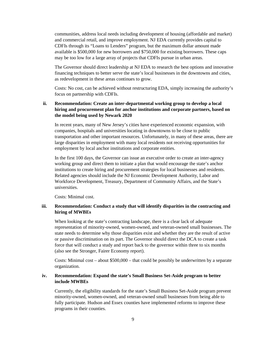communities, address local needs including development of housing (affordable and market) and commercial retail, and improve employment. NJ EDA currently provides capital to CDFIs through its "Loans to Lenders" program, but the maximum dollar amount made available is \$500,000 for new borrowers and \$750,000 for existing borrowers. These caps may be too low for a large array of projects that CDFIs pursue in urban areas.

The Governor should direct leadership at NJ EDA to research the best options and innovative financing techniques to better serve the state's local businesses in the downtowns and cities, as redevelopment in these areas continues to grow.

Costs: No cost, can be achieved without restructuring EDA, simply increasing the authority's focus on partnership with CDFIs.

## **ii. Recommendation: Create an inter-departmental working group to develop a local hiring and procurement plan for anchor institutions and corporate partners, based on the model being used by Newark 2020**

In recent years, many of New Jersey's cities have experienced economic expansion, with companies, hospitals and universities locating in downtowns to be close to public transportation and other important resources. Unfortunately, in many of these areas, there are large disparities in employment with many local residents not receiving opportunities for employment by local anchor institutions and corporate entities.

In the first 100 days, the Governor can issue an executive order to create an inter-agency working group and direct them to initiate a plan that would encourage the state's anchor institutions to create hiring and procurement strategies for local businesses and residents. Related agencies should include the NJ Economic Development Authority, Labor and Workforce Development, Treasury, Department of Community Affairs, and the State's universities.

Costs: Minimal cost.

## **iii. Recommendation: Conduct a study that will identify disparities in the contracting and hiring of MWBEs**

When looking at the state's contracting landscape, there is a clear lack of adequate representation of minority-owned, women-owned, and veteran-owned small businesses. The state needs to determine why those disparities exist and whether they are the result of active or passive discrimination on its part. The Governor should direct the DCA to create a task force that will conduct a study and report back to the governor within three to six months (also see the Stronger, Fairer Economy report).

Costs: Minimal cost – about  $$500,000$  – that could be possibly be underwritten by a separate organization.

## **iv. Recommendation: Expand the state's Small Business Set-Aside program to better include MWBEs**

Currently, the eligibility standards for the state's Small Business Set-Aside program prevent minority-owned, women-owned, and veteran-owned small businesses from being able to fully participate. Hudson and Essex counties have implemented reforms to improve these programs in their counties.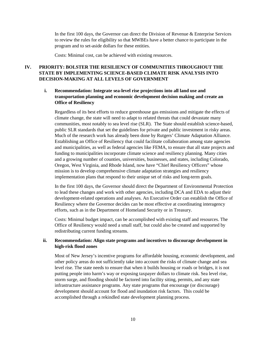In the first 100 days, the Governor can direct the Division of Revenue & Enterprise Services to review the rules for eligibility so that MWBEs have a better chance to participate in the program and to set-aside dollars for these entities.

Costs: Minimal cost, can be achieved with existing resources.

# **IV. PRIORITY: BOLSTER THE RESILIENCY OF COMMUNITIES THROUGHOUT THE STATE BY IMPLEMENTING SCIENCE-BASED CLIMATE RISK ANALYSIS INTO DECISION-MAKING AT ALL LEVELS OF GOVERNMENT**

# **i. Recommendation: Integrate sea-level rise projections into all land use and transportation planning and economic development decision making and create an Office of Resiliency**

Regardless of its best efforts to reduce greenhouse gas emissions and mitigate the effects of climate change, the state will need to adapt to related threats that could devastate many communities, most notably to sea level rise (SLR). The State should establish science-based, public SLR standards that set the guidelines for private and public investment in risky areas. Much of the research work has already been done by Rutgers' Climate Adaptation Alliance. Establishing an Office of Resiliency that could facilitate collaboration among state agencies and municipalities, as well as federal agencies like FEMA, to ensure that all state projects and funding to municipalities incorporate climate science and resiliency planning. Many cities and a growing number of counties, universities, businesses, and states, including Colorado, Oregon, West Virginia, and Rhode Island, now have "Chief Resiliency Officers" whose mission is to develop comprehensive climate adaptation strategies and resiliency implementation plans that respond to their unique set of risks and long-term goals.

In the first 100 days, the Governor should direct the Department of Environmental Protection to lead these changes and work with other agencies, including DCA and EDA to adjust their development-related operations and analyses. An Executive Order can establish the Office of Resiliency where the Governor decides can be most effective at coordinating interagency efforts, such as in the Department of Homeland Security or in Treasury.

Costs: Minimal budget impact, can be accomplished with existing staff and resources. The Office of Resiliency would need a small staff, but could also be created and supported by redistributing current funding streams.

# **ii. Recommendation: Align state programs and incentives to discourage development in high-risk flood zones**

Most of New Jersey's incentive programs for affordable housing, economic development, and other policy areas do not sufficiently take into account the risks of climate change and sea level rise. The state needs to ensure that when it builds housing or roads or bridges, it is not putting people into harm's way or exposing taxpayer dollars to climate risk. Sea level rise, storm surge, and flooding should be factored into facility siting, permits, and any state infrastructure assistance programs. Any state programs that encourage (or discourage) development should account for flood and inundation risk factors. This could be accomplished through a rekindled state development planning process.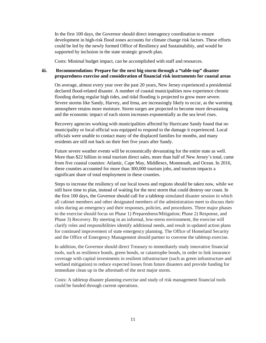In the first 100 days, the Governor should direct interagency coordination to ensure development in high-risk flood zones accounts for climate change risk factors. These efforts could be led by the newly formed Office of Resiliency and Sustainability, and would be supported by inclusion in the state strategic growth plan.

Costs: Minimal budget impact, can be accomplished with staff and resources.

## **iii. Recommendation: Prepare for the next big storm through a "table-top" disaster preparedness exercise and consideration of financial risk instruments for coastal areas**

On average, almost every year over the past 20 years, New Jersey experienced a presidential declared flood-related disaster. A number of coastal municipalities now experience chronic flooding during regular high tides, and tidal flooding is projected to grow more severe. Severe storms like Sandy, Harvey, and Irma, are increasingly likely to occur, as the warming atmosphere retains more moisture. Storm surges are projected to become more devastating and the economic impact of each storm increases exponentially as the sea level rises.

Recovery agencies working with municipalities affected by Hurricane Sandy found that no municipality or local official was equipped to respond to the damage it experienced. Local officials were unable to contact many of the displaced families for months, and many residents are still not back on their feet five years after Sandy.

Future severe weather events will be economically devastating for the entire state as well. More than \$22 billion in total tourism direct sales, more than half of New Jersey's total, came from five coastal counties: Atlantic, Cape May, Middlesex, Monmouth, and Ocean. In 2016, these counties accounted for more than 300,000 tourism jobs, and tourism impacts a significant share of total employment in these counties.

Steps to increase the resiliency of our local towns and regions should be taken now, while we still have time to plan, instead of waiting for the next storm that could destroy our coast. In the first 100 days, the Governor should call for a tabletop simulated disaster session in which all cabinet members and other designated members of the administration meet to discuss their roles during an emergency and their responses, policies, and procedures. Three major phases to the exercise should focus on Phase 1) Preparedness/Mitigation; Phase 2) Response, and Phase 3) Recovery. By meeting in an informal, low-stress environment, the exercise will clarify roles and responsibilities identify additional needs, and result in updated action plans for continued improvement of state emergency planning. The Office of Homeland Security and the Office of Emergency Management should partner to convene the tabletop exercise.

In addition, the Governor should direct Treasury to immediately study innovative financial tools, such as resilience bonds, green bonds, or catastrophe bonds, in order to link insurance coverage with capital investments in resilient infrastructure (such as green infrastructure and wetland mitigation) to reduce expected losses from future disasters and provide funding for immediate clean up in the aftermath of the next major storm.

Costs: A tabletop disaster planning exercise and study of risk management financial tools could be funded through current operations.